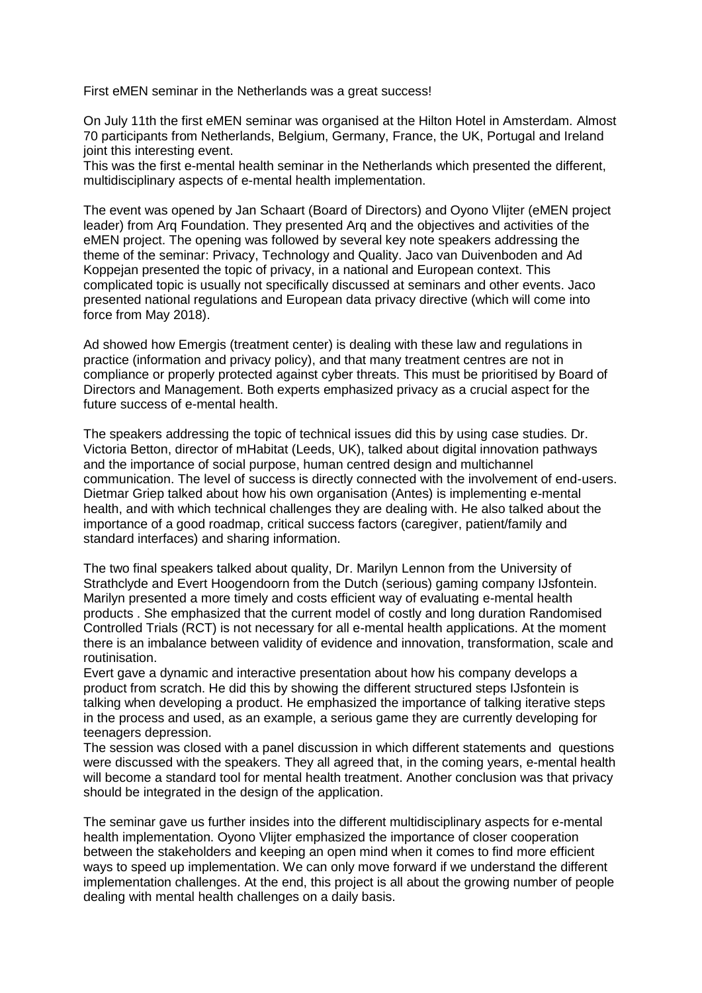First eMEN seminar in the Netherlands was a great success!

On July 11th the first eMEN seminar was organised at the Hilton Hotel in Amsterdam. Almost 70 participants from Netherlands, Belgium, Germany, France, the UK, Portugal and Ireland joint this interesting event.

This was the first e-mental health seminar in the Netherlands which presented the different, multidisciplinary aspects of e-mental health implementation.

The event was opened by Jan Schaart (Board of Directors) and Oyono Vlijter (eMEN project leader) from Arq Foundation. They presented Arq and the objectives and activities of the eMEN project. The opening was followed by several key note speakers addressing the theme of the seminar: Privacy, Technology and Quality. Jaco van Duivenboden and Ad Koppejan presented the topic of privacy, in a national and European context. This complicated topic is usually not specifically discussed at seminars and other events. Jaco presented national regulations and European data privacy directive (which will come into force from May 2018).

Ad showed how Emergis (treatment center) is dealing with these law and regulations in practice (information and privacy policy), and that many treatment centres are not in compliance or properly protected against cyber threats. This must be prioritised by Board of Directors and Management. Both experts emphasized privacy as a crucial aspect for the future success of e-mental health.

The speakers addressing the topic of technical issues did this by using case studies. Dr. Victoria Betton, director of mHabitat (Leeds, UK), talked about digital innovation pathways and the importance of social purpose, human centred design and multichannel communication. The level of success is directly connected with the involvement of end-users. Dietmar Griep talked about how his own organisation (Antes) is implementing e-mental health, and with which technical challenges they are dealing with. He also talked about the importance of a good roadmap, critical success factors (caregiver, patient/family and standard interfaces) and sharing information.

The two final speakers talked about quality, Dr. Marilyn Lennon from the University of Strathclyde and Evert Hoogendoorn from the Dutch (serious) gaming company IJsfontein. Marilyn presented a more timely and costs efficient way of evaluating e-mental health products . She emphasized that the current model of costly and long duration Randomised Controlled Trials (RCT) is not necessary for all e-mental health applications. At the moment there is an imbalance between validity of evidence and innovation, transformation, scale and routinisation.

Evert gave a dynamic and interactive presentation about how his company develops a product from scratch. He did this by showing the different structured steps IJsfontein is talking when developing a product. He emphasized the importance of talking iterative steps in the process and used, as an example, a serious game they are currently developing for teenagers depression.

The session was closed with a panel discussion in which different statements and questions were discussed with the speakers. They all agreed that, in the coming years, e-mental health will become a standard tool for mental health treatment. Another conclusion was that privacy should be integrated in the design of the application.

The seminar gave us further insides into the different multidisciplinary aspects for e-mental health implementation. Oyono Vlijter emphasized the importance of closer cooperation between the stakeholders and keeping an open mind when it comes to find more efficient ways to speed up implementation. We can only move forward if we understand the different implementation challenges. At the end, this project is all about the growing number of people dealing with mental health challenges on a daily basis.